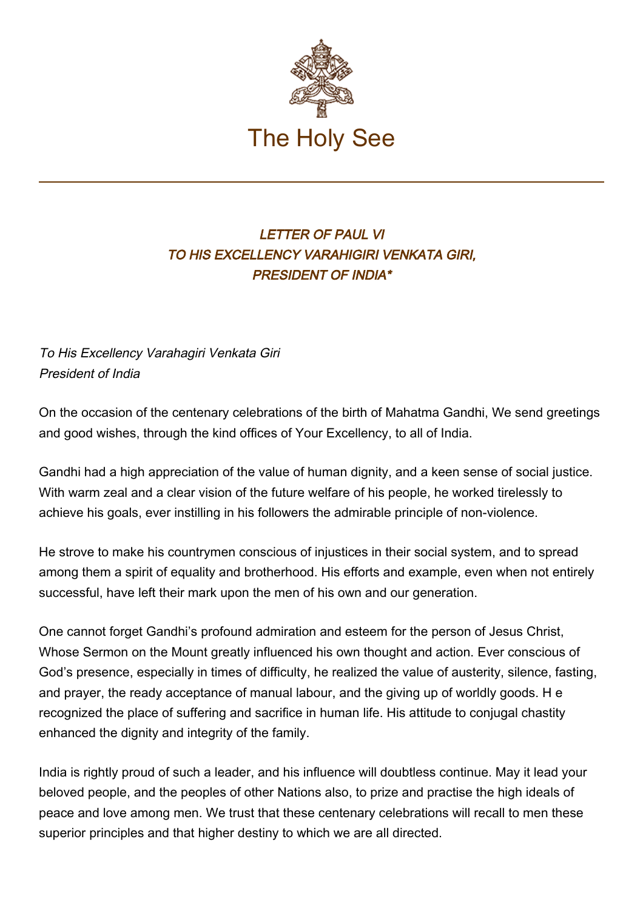

## LETTER OF PAUL VI TO HIS EXCELLENCY VARAHIGIRI VENKATA GIRI, PRESIDENT OF INDIA\*

To His Excellency Varahagiri Venkata Giri President of India

On the occasion of the centenary celebrations of the birth of Mahatma Gandhi, We send greetings and good wishes, through the kind offices of Your Excellency, to all of India.

Gandhi had a high appreciation of the value of human dignity, and a keen sense of social justice. With warm zeal and a clear vision of the future welfare of his people, he worked tirelessly to achieve his goals, ever instilling in his followers the admirable principle of non-violence.

He strove to make his countrymen conscious of injustices in their social system, and to spread among them a spirit of equality and brotherhood. His efforts and example, even when not entirely successful, have left their mark upon the men of his own and our generation.

One cannot forget Gandhi's profound admiration and esteem for the person of Jesus Christ, Whose Sermon on the Mount greatly influenced his own thought and action. Ever conscious of God's presence, especially in times of difficulty, he realized the value of austerity, silence, fasting, and prayer, the ready acceptance of manual labour, and the giving up of worldly goods. H e recognized the place of suffering and sacrifice in human life. His attitude to conjugal chastity enhanced the dignity and integrity of the family.

India is rightly proud of such a leader, and his influence will doubtless continue. May it lead your beloved people, and the peoples of other Nations also, to prize and practise the high ideals of peace and love among men. We trust that these centenary celebrations will recall to men these superior principles and that higher destiny to which we are all directed.